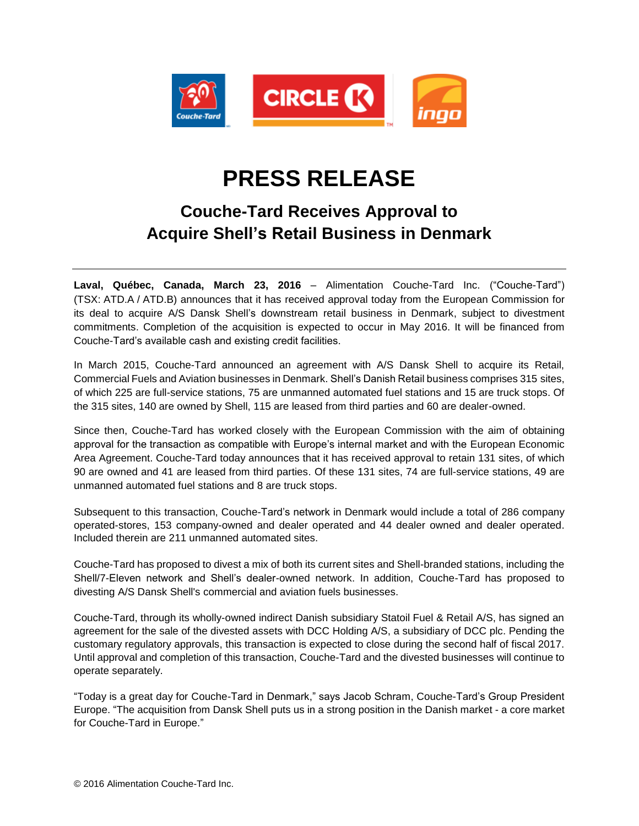

# **PRESS RELEASE**

# **Couche-Tard Receives Approval to Acquire Shell's Retail Business in Denmark**

**Laval, Québec, Canada, March 23, 2016** – Alimentation Couche-Tard Inc. ("Couche-Tard") (TSX: ATD.A / ATD.B) announces that it has received approval today from the European Commission for its deal to acquire A/S Dansk Shell's downstream retail business in Denmark, subject to divestment commitments. Completion of the acquisition is expected to occur in May 2016. It will be financed from Couche-Tard's available cash and existing credit facilities.

In March 2015, Couche-Tard announced an agreement with A/S Dansk Shell to acquire its Retail, Commercial Fuels and Aviation businesses in Denmark. Shell's Danish Retail business comprises 315 sites, of which 225 are full-service stations, 75 are unmanned automated fuel stations and 15 are truck stops. Of the 315 sites, 140 are owned by Shell, 115 are leased from third parties and 60 are dealer-owned.

Since then, Couche-Tard has worked closely with the European Commission with the aim of obtaining approval for the transaction as compatible with Europe's internal market and with the European Economic Area Agreement. Couche-Tard today announces that it has received approval to retain 131 sites, of which 90 are owned and 41 are leased from third parties. Of these 131 sites, 74 are full-service stations, 49 are unmanned automated fuel stations and 8 are truck stops.

Subsequent to this transaction, Couche-Tard's network in Denmark would include a total of 286 company operated-stores, 153 company-owned and dealer operated and 44 dealer owned and dealer operated. Included therein are 211 unmanned automated sites.

Couche-Tard has proposed to divest a mix of both its current sites and Shell-branded stations, including the Shell/7-Eleven network and Shell's dealer-owned network. In addition, Couche-Tard has proposed to divesting A/S Dansk Shell's commercial and aviation fuels businesses.

Couche-Tard, through its wholly-owned indirect Danish subsidiary Statoil Fuel & Retail A/S, has signed an agreement for the sale of the divested assets with DCC Holding A/S, a subsidiary of DCC plc. Pending the customary regulatory approvals, this transaction is expected to close during the second half of fiscal 2017. Until approval and completion of this transaction, Couche-Tard and the divested businesses will continue to operate separately.

"Today is a great day for Couche-Tard in Denmark," says Jacob Schram, Couche-Tard's Group President Europe. "The acquisition from Dansk Shell puts us in a strong position in the Danish market - a core market for Couche-Tard in Europe."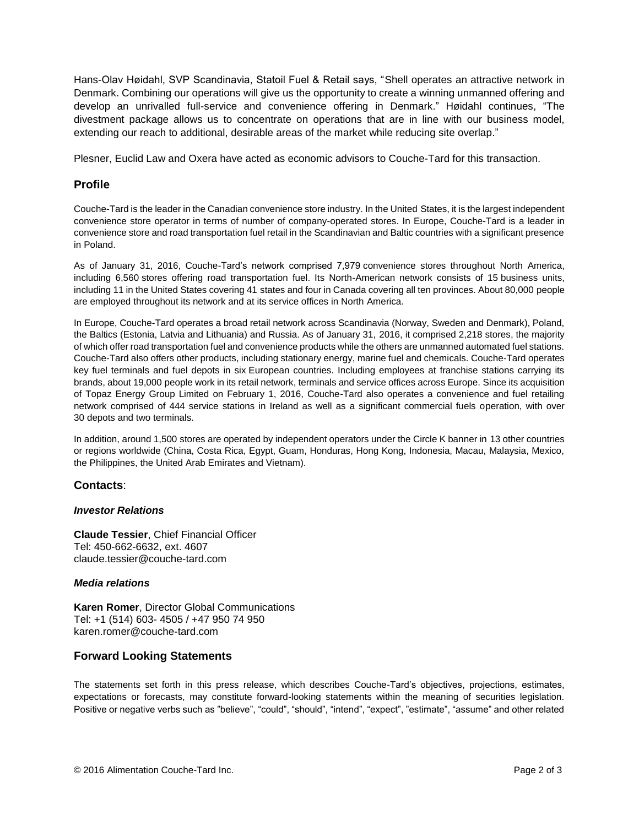Hans-Olav Høidahl, SVP Scandinavia, Statoil Fuel & Retail says, "Shell operates an attractive network in Denmark. Combining our operations will give us the opportunity to create a winning unmanned offering and develop an unrivalled full-service and convenience offering in Denmark." Høidahl continues, "The divestment package allows us to concentrate on operations that are in line with our business model, extending our reach to additional, desirable areas of the market while reducing site overlap."

Plesner, Euclid Law and Oxera have acted as economic advisors to Couche-Tard for this transaction.

## **Profile**

Couche-Tard is the leader in the Canadian convenience store industry. In the United States, it is the largest independent convenience store operator in terms of number of company-operated stores. In Europe, Couche-Tard is a leader in convenience store and road transportation fuel retail in the Scandinavian and Baltic countries with a significant presence in Poland.

As of January 31, 2016, Couche-Tard's network comprised 7,979 convenience stores throughout North America, including 6,560 stores offering road transportation fuel. Its North-American network consists of 15 business units, including 11 in the United States covering 41 states and four in Canada covering all ten provinces. About 80,000 people are employed throughout its network and at its service offices in North America.

In Europe, Couche-Tard operates a broad retail network across Scandinavia (Norway, Sweden and Denmark), Poland, the Baltics (Estonia, Latvia and Lithuania) and Russia. As of January 31, 2016, it comprised 2,218 stores, the majority of which offer road transportation fuel and convenience products while the others are unmanned automated fuel stations. Couche-Tard also offers other products, including stationary energy, marine fuel and chemicals. Couche-Tard operates key fuel terminals and fuel depots in six European countries. Including employees at franchise stations carrying its brands, about 19,000 people work in its retail network, terminals and service offices across Europe. Since its acquisition of Topaz Energy Group Limited on February 1, 2016, Couche-Tard also operates a convenience and fuel retailing network comprised of 444 service stations in Ireland as well as a significant commercial fuels operation, with over 30 depots and two terminals.

In addition, around 1,500 stores are operated by independent operators under the Circle K banner in 13 other countries or regions worldwide (China, Costa Rica, Egypt, Guam, Honduras, Hong Kong, Indonesia, Macau, Malaysia, Mexico, the Philippines, the United Arab Emirates and Vietnam).

### **Contacts**:

#### *Investor Relations*

**Claude Tessier**, Chief Financial Officer Tel: 450-662-6632, ext. 4607 claude.tessier@couche-tard.com

#### *Media relations*

**Karen Romer**, Director Global Communications Tel: +1 (514) 603- 4505 / +47 950 74 950 [karen.romer@couche-tard.com](mailto:karen.romer@couche-tard.com)

### **Forward Looking Statements**

The statements set forth in this press release, which describes Couche-Tard's objectives, projections, estimates, expectations or forecasts, may constitute forward-looking statements within the meaning of securities legislation. Positive or negative verbs such as "believe", "could", "should", "intend", "expect", "estimate", "assume" and other related